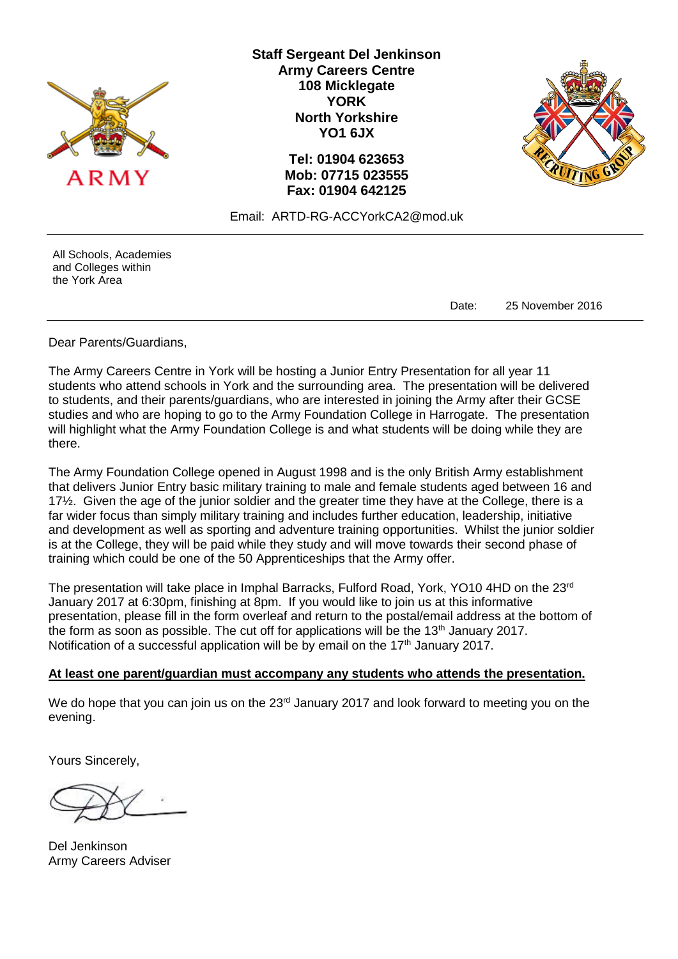

**Staff Sergeant Del Jenkinson Army Careers Centre 108 Micklegate YORK North Yorkshire YO1 6JX**

> **Tel: 01904 623653 Mob: 07715 023555 Fax: 01904 642125**



Email: ARTD-RG-ACCYorkCA2@mod.uk

All Schools, Academies and Colleges within the York Area

Date: 25 November 2016

Dear Parents/Guardians,

The Army Careers Centre in York will be hosting a Junior Entry Presentation for all year 11 students who attend schools in York and the surrounding area. The presentation will be delivered to students, and their parents/guardians, who are interested in joining the Army after their GCSE studies and who are hoping to go to the Army Foundation College in Harrogate. The presentation will highlight what the Army Foundation College is and what students will be doing while they are there.

The Army Foundation College opened in August 1998 and is the only British Army establishment that delivers Junior Entry basic military training to male and female students aged between 16 and 17½. Given the age of the junior soldier and the greater time they have at the College, there is a far wider focus than simply military training and includes further education, leadership, initiative and development as well as sporting and adventure training opportunities. Whilst the junior soldier is at the College, they will be paid while they study and will move towards their second phase of training which could be one of the 50 Apprenticeships that the Army offer.

The presentation will take place in Imphal Barracks, Fulford Road, York, YO10 4HD on the 23rd January 2017 at 6:30pm, finishing at 8pm. If you would like to join us at this informative presentation, please fill in the form overleaf and return to the postal/email address at the bottom of the form as soon as possible. The cut off for applications will be the  $13<sup>th</sup>$  January 2017. Notification of a successful application will be by email on the  $17<sup>th</sup>$  January 2017.

## **At least one parent/guardian must accompany any students who attends the presentation.**

We do hope that you can join us on the 23<sup>rd</sup> January 2017 and look forward to meeting you on the evening.

Yours Sincerely,

Del Jenkinson Army Careers Adviser